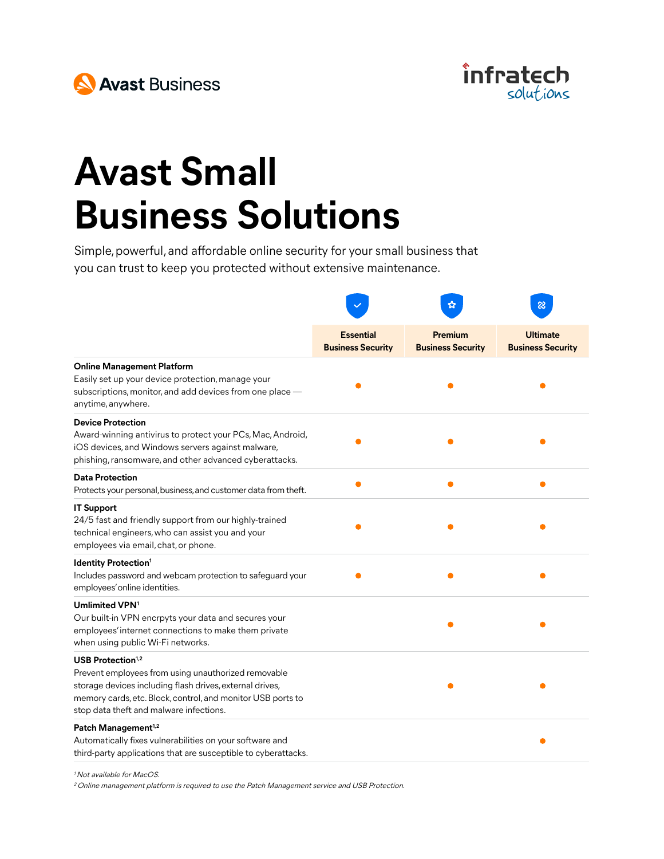



## **Avast Small Business Solutions**

Simple, powerful, and affordable online security for your small business that you can trust to keep you protected without extensive maintenance.

|                                                                                                                                                                                                                                                   |                                              |                                     | $\infty$                                    |
|---------------------------------------------------------------------------------------------------------------------------------------------------------------------------------------------------------------------------------------------------|----------------------------------------------|-------------------------------------|---------------------------------------------|
|                                                                                                                                                                                                                                                   | <b>Essential</b><br><b>Business Security</b> | Premium<br><b>Business Security</b> | <b>Ultimate</b><br><b>Business Security</b> |
| <b>Online Management Platform</b><br>Easily set up your device protection, manage your<br>subscriptions, monitor, and add devices from one place -<br>anytime, anywhere.                                                                          |                                              |                                     |                                             |
| <b>Device Protection</b><br>Award-winning antivirus to protect your PCs, Mac, Android,<br>iOS devices, and Windows servers against malware,<br>phishing, ransomware, and other advanced cyberattacks.                                             |                                              |                                     |                                             |
| <b>Data Protection</b><br>Protects your personal, business, and customer data from theft.                                                                                                                                                         |                                              |                                     |                                             |
| <b>IT Support</b><br>24/5 fast and friendly support from our highly-trained<br>technical engineers, who can assist you and your<br>employees via email, chat, or phone.                                                                           |                                              |                                     |                                             |
| <b>Identity Protection<sup>1</sup></b><br>Includes password and webcam protection to safeguard your<br>employees' online identities.                                                                                                              |                                              |                                     |                                             |
| Umlimited VPN <sup>1</sup><br>Our built-in VPN encrpyts your data and secures your<br>employees' internet connections to make them private<br>when using public Wi-Fi networks.                                                                   |                                              |                                     |                                             |
| USB Protection $1,2$<br>Prevent employees from using unauthorized removable<br>storage devices including flash drives, external drives,<br>memory cards, etc. Block, control, and monitor USB ports to<br>stop data theft and malware infections. |                                              |                                     |                                             |
| Patch Management <sup>1,2</sup><br>Automatically fixes vulnerabilities on your software and<br>third-party applications that are susceptible to cyberattacks.                                                                                     |                                              |                                     |                                             |

<sup>1</sup> Not available for MacOS.

<sup>2</sup> Online management platform is required to use the Patch Management service and USB Protection.